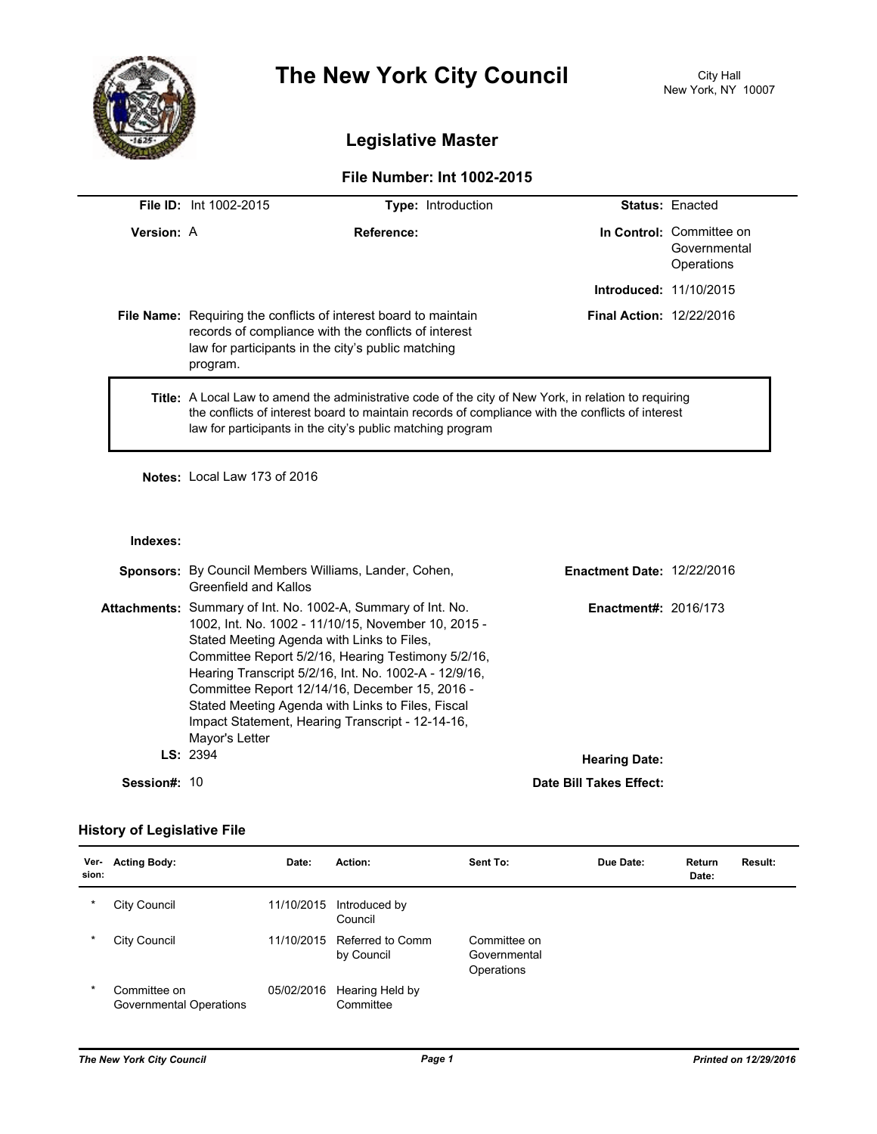

# **The New York City Council** City Hall

# **Legislative Master**

## **File Number: Int 1002-2015**

|                   | <b>File ID:</b> Int 1002-2015                                                                                                                                                                                                                                                  | <b>Type: Introduction</b>                                                                                                                                                             |                                 | <b>Status: Enacted</b>                                 |  |
|-------------------|--------------------------------------------------------------------------------------------------------------------------------------------------------------------------------------------------------------------------------------------------------------------------------|---------------------------------------------------------------------------------------------------------------------------------------------------------------------------------------|---------------------------------|--------------------------------------------------------|--|
| <b>Version: A</b> |                                                                                                                                                                                                                                                                                | Reference:                                                                                                                                                                            |                                 | In Control: Committee on<br>Governmental<br>Operations |  |
|                   |                                                                                                                                                                                                                                                                                |                                                                                                                                                                                       | <b>Introduced: 11/10/2015</b>   |                                                        |  |
|                   | program.                                                                                                                                                                                                                                                                       | <b>File Name:</b> Requiring the conflicts of interest board to maintain<br>records of compliance with the conflicts of interest<br>law for participants in the city's public matching | <b>Final Action: 12/22/2016</b> |                                                        |  |
|                   | <b>Title:</b> A Local Law to amend the administrative code of the city of New York, in relation to requiring<br>the conflicts of interest board to maintain records of compliance with the conflicts of interest<br>law for participants in the city's public matching program |                                                                                                                                                                                       |                                 |                                                        |  |

**Notes:** Local Law 173 of 2016

#### **Indexes:**

|              | <b>Sponsors:</b> By Council Members Williams, Lander, Cohen,<br>Greenfield and Kallos                                                                                                                                                                                                                                                                                                                                                                                | <b>Enactment Date: 12/22/2016</b> |  |
|--------------|----------------------------------------------------------------------------------------------------------------------------------------------------------------------------------------------------------------------------------------------------------------------------------------------------------------------------------------------------------------------------------------------------------------------------------------------------------------------|-----------------------------------|--|
|              | <b>Attachments:</b> Summary of Int. No. 1002-A, Summary of Int. No.<br>1002, Int. No. 1002 - 11/10/15, November 10, 2015 -<br>Stated Meeting Agenda with Links to Files.<br>Committee Report 5/2/16, Hearing Testimony 5/2/16,<br>Hearing Transcript 5/2/16, Int. No. 1002-A - 12/9/16,<br>Committee Report 12/14/16, December 15, 2016 -<br>Stated Meeting Agenda with Links to Files, Fiscal<br>Impact Statement, Hearing Transcript - 12-14-16,<br>Mayor's Letter | <b>Enactment#: 2016/173</b>       |  |
|              | LS: 2394<br><b>Hearing Date:</b>                                                                                                                                                                                                                                                                                                                                                                                                                                     |                                   |  |
| Session#: 10 |                                                                                                                                                                                                                                                                                                                                                                                                                                                                      | Date Bill Takes Effect:           |  |

## **History of Legislative File**

| Ver-<br>sion: | <b>Acting Body:</b>                     | Date:      | Action:                        | Sent To:                                   | Due Date: | Return<br>Date: | Result: |
|---------------|-----------------------------------------|------------|--------------------------------|--------------------------------------------|-----------|-----------------|---------|
| $\ast$        | City Council                            | 11/10/2015 | Introduced by<br>Council       |                                            |           |                 |         |
| *             | City Council                            | 11/10/2015 | Referred to Comm<br>by Council | Committee on<br>Governmental<br>Operations |           |                 |         |
| *             | Committee on<br>Governmental Operations | 05/02/2016 | Hearing Held by<br>Committee   |                                            |           |                 |         |